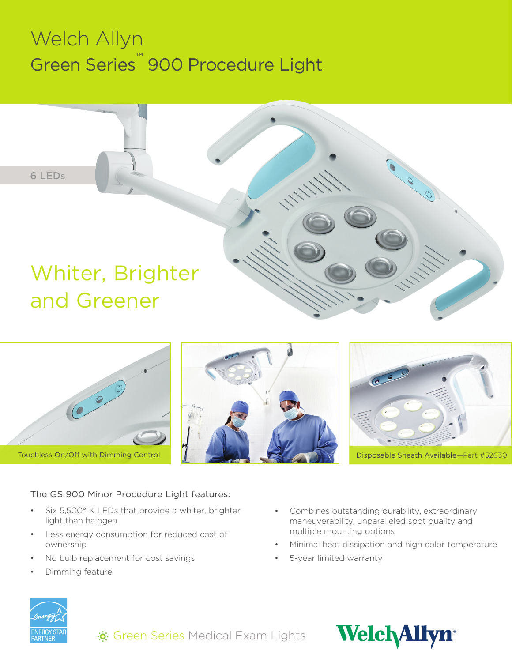# Welch Allyn Green Series™ 900 Procedure Light



Touchless On/Off with Dimming Control Disposable Sheath Available—Part #52630

#### The GS 900 Minor Procedure Light features:

- Six 5,500° K LEDs that provide a whiter, brighter light than halogen
- Less energy consumption for reduced cost of ownership
- No bulb replacement for cost savings
- Dimming feature
- Combines outstanding durability, extraordinary maneuverability, unparalleled spot quality and multiple mounting options
- Minimal heat dissipation and high color temperature
- 5-year limited warranty





 $\ddot{\cdot}$ : Green Series Medical Exam Lights